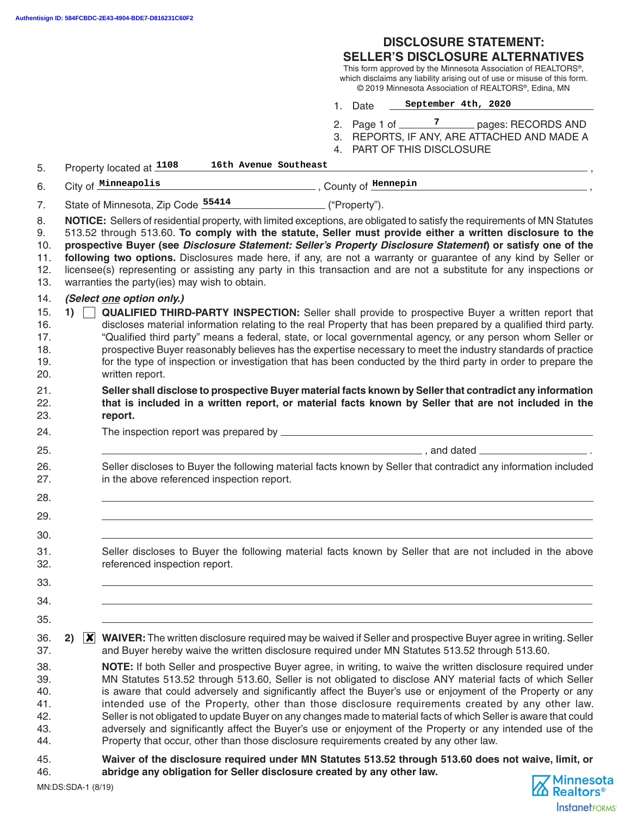## **DISCLOSURE STATEMENT:**

#### **SELLER'S DISCLOSURE ALTERNATIVES**

This form approved by the Minnesota Association of REALTORS® , which disclaims any liability arising out of use or misuse of this form. © 2019 Minnesota Association of REALTORS® , Edina, MN

- 1. Date **September 4th, 2020**
- 2. Page 1 of \_\_\_\_\_\_\_<sup>7</sup> \_\_\_\_\_\_ pages: RECORDS AND
- 3. REPORTS, IF ANY, ARE ATTACHED AND MADE A

**InstanetFORMS** 

4. PART OF THIS DISCLOSURE

| 5.                                            |                                                                                                                                                                                                                                                                                                                                                                                                                                                                                                                                                                                                                                                 |                | 16th Avenue Southeast<br>Property located at 1108                                       |                                                                                                                                                                                                                                                                                                                                                                                                                                                                                                                                                                                                                                                                                |  |  |  |
|-----------------------------------------------|-------------------------------------------------------------------------------------------------------------------------------------------------------------------------------------------------------------------------------------------------------------------------------------------------------------------------------------------------------------------------------------------------------------------------------------------------------------------------------------------------------------------------------------------------------------------------------------------------------------------------------------------------|----------------|-----------------------------------------------------------------------------------------|--------------------------------------------------------------------------------------------------------------------------------------------------------------------------------------------------------------------------------------------------------------------------------------------------------------------------------------------------------------------------------------------------------------------------------------------------------------------------------------------------------------------------------------------------------------------------------------------------------------------------------------------------------------------------------|--|--|--|
| 6.                                            |                                                                                                                                                                                                                                                                                                                                                                                                                                                                                                                                                                                                                                                 |                | City of Minneapolis                                                                     |                                                                                                                                                                                                                                                                                                                                                                                                                                                                                                                                                                                                                                                                                |  |  |  |
| 7.                                            | State of Minnesota, Zip Code 55414 ("Property").                                                                                                                                                                                                                                                                                                                                                                                                                                                                                                                                                                                                |                |                                                                                         |                                                                                                                                                                                                                                                                                                                                                                                                                                                                                                                                                                                                                                                                                |  |  |  |
| 8.<br>9.<br>10.<br>11.<br>12.<br>13.          | NOTICE: Sellers of residential property, with limited exceptions, are obligated to satisfy the requirements of MN Statutes<br>513.52 through 513.60. To comply with the statute, Seller must provide either a written disclosure to the<br>prospective Buyer (see Disclosure Statement: Seller's Property Disclosure Statement) or satisfy one of the<br>following two options. Disclosures made here, if any, are not a warranty or guarantee of any kind by Seller or<br>licensee(s) representing or assisting any party in this transaction and are not a substitute for any inspections or<br>warranties the party(ies) may wish to obtain. |                |                                                                                         |                                                                                                                                                                                                                                                                                                                                                                                                                                                                                                                                                                                                                                                                                |  |  |  |
| 14.<br>15.<br>16.<br>17.<br>18.<br>19.<br>20. | 1)                                                                                                                                                                                                                                                                                                                                                                                                                                                                                                                                                                                                                                              |                | (Select one option only.)<br>written report.                                            | QUALIFIED THIRD-PARTY INSPECTION: Seller shall provide to prospective Buyer a written report that<br>discloses material information relating to the real Property that has been prepared by a qualified third party.<br>"Qualified third party" means a federal, state, or local governmental agency, or any person whom Seller or<br>prospective Buyer reasonably believes has the expertise necessary to meet the industry standards of practice<br>for the type of inspection or investigation that has been conducted by the third party in order to prepare the                                                                                                           |  |  |  |
| 21.<br>22.<br>23.                             |                                                                                                                                                                                                                                                                                                                                                                                                                                                                                                                                                                                                                                                 |                | report.                                                                                 | Seller shall disclose to prospective Buyer material facts known by Seller that contradict any information<br>that is included in a written report, or material facts known by Seller that are not included in the                                                                                                                                                                                                                                                                                                                                                                                                                                                              |  |  |  |
| 24.                                           |                                                                                                                                                                                                                                                                                                                                                                                                                                                                                                                                                                                                                                                 |                |                                                                                         |                                                                                                                                                                                                                                                                                                                                                                                                                                                                                                                                                                                                                                                                                |  |  |  |
| 25.                                           |                                                                                                                                                                                                                                                                                                                                                                                                                                                                                                                                                                                                                                                 |                |                                                                                         |                                                                                                                                                                                                                                                                                                                                                                                                                                                                                                                                                                                                                                                                                |  |  |  |
| 26.<br>27.                                    |                                                                                                                                                                                                                                                                                                                                                                                                                                                                                                                                                                                                                                                 |                | in the above referenced inspection report.                                              | Seller discloses to Buyer the following material facts known by Seller that contradict any information included                                                                                                                                                                                                                                                                                                                                                                                                                                                                                                                                                                |  |  |  |
| 28.                                           |                                                                                                                                                                                                                                                                                                                                                                                                                                                                                                                                                                                                                                                 |                |                                                                                         |                                                                                                                                                                                                                                                                                                                                                                                                                                                                                                                                                                                                                                                                                |  |  |  |
| 29.<br>30.                                    |                                                                                                                                                                                                                                                                                                                                                                                                                                                                                                                                                                                                                                                 |                |                                                                                         |                                                                                                                                                                                                                                                                                                                                                                                                                                                                                                                                                                                                                                                                                |  |  |  |
| 31.<br>32.                                    |                                                                                                                                                                                                                                                                                                                                                                                                                                                                                                                                                                                                                                                 |                | referenced inspection report.                                                           | Seller discloses to Buyer the following material facts known by Seller that are not included in the above                                                                                                                                                                                                                                                                                                                                                                                                                                                                                                                                                                      |  |  |  |
| 33.                                           |                                                                                                                                                                                                                                                                                                                                                                                                                                                                                                                                                                                                                                                 |                |                                                                                         |                                                                                                                                                                                                                                                                                                                                                                                                                                                                                                                                                                                                                                                                                |  |  |  |
| 34.                                           |                                                                                                                                                                                                                                                                                                                                                                                                                                                                                                                                                                                                                                                 |                |                                                                                         |                                                                                                                                                                                                                                                                                                                                                                                                                                                                                                                                                                                                                                                                                |  |  |  |
| 35.                                           |                                                                                                                                                                                                                                                                                                                                                                                                                                                                                                                                                                                                                                                 |                |                                                                                         |                                                                                                                                                                                                                                                                                                                                                                                                                                                                                                                                                                                                                                                                                |  |  |  |
| 36.<br>37.                                    | 2)                                                                                                                                                                                                                                                                                                                                                                                                                                                                                                                                                                                                                                              | $ \mathsf{X} $ |                                                                                         | WAIVER: The written disclosure required may be waived if Seller and prospective Buyer agree in writing. Seller<br>and Buyer hereby waive the written disclosure required under MN Statutes 513.52 through 513.60.                                                                                                                                                                                                                                                                                                                                                                                                                                                              |  |  |  |
| 38.<br>39.<br>40.<br>41.<br>42.<br>43.<br>44. |                                                                                                                                                                                                                                                                                                                                                                                                                                                                                                                                                                                                                                                 |                | Property that occur, other than those disclosure requirements created by any other law. | NOTE: If both Seller and prospective Buyer agree, in writing, to waive the written disclosure required under<br>MN Statutes 513.52 through 513.60, Seller is not obligated to disclose ANY material facts of which Seller<br>is aware that could adversely and significantly affect the Buyer's use or enjoyment of the Property or any<br>intended use of the Property, other than those disclosure requirements created by any other law.<br>Seller is not obligated to update Buyer on any changes made to material facts of which Seller is aware that could<br>adversely and significantly affect the Buyer's use or enjoyment of the Property or any intended use of the |  |  |  |
| 45.                                           |                                                                                                                                                                                                                                                                                                                                                                                                                                                                                                                                                                                                                                                 |                |                                                                                         | Waiver of the disclosure required under MN Statutes 513.52 through 513.60 does not waive, limit, or                                                                                                                                                                                                                                                                                                                                                                                                                                                                                                                                                                            |  |  |  |
| 46.<br>MN:DS:SDA-1 (8/19)                     |                                                                                                                                                                                                                                                                                                                                                                                                                                                                                                                                                                                                                                                 |                | abridge any obligation for Seller disclosure created by any other law.                  | Minnesota<br>K∆ Realtors®                                                                                                                                                                                                                                                                                                                                                                                                                                                                                                                                                                                                                                                      |  |  |  |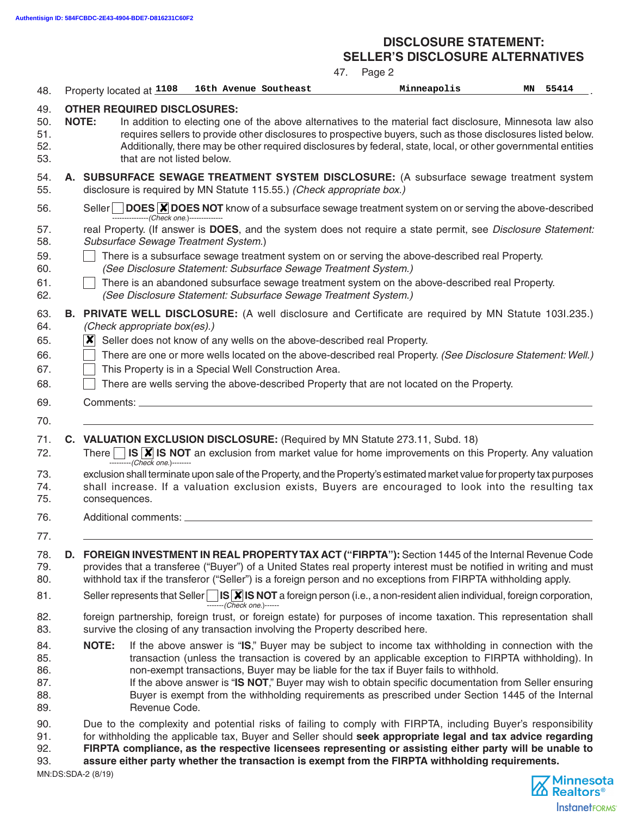#### **DISCLOSURE STATEMENT: SELLER'S DISCLOSURE ALTERNATIVES**

|                                                      | 47.<br>Page 2                                                                                                                                                                                                                                                                                                                                                                                                                                                                                                                                      |
|------------------------------------------------------|----------------------------------------------------------------------------------------------------------------------------------------------------------------------------------------------------------------------------------------------------------------------------------------------------------------------------------------------------------------------------------------------------------------------------------------------------------------------------------------------------------------------------------------------------|
| 48.                                                  | 16th Avenue Southeast<br>Minneapolis<br>55414<br>MΝ<br>Property located at 1108                                                                                                                                                                                                                                                                                                                                                                                                                                                                    |
| 49.<br>50.<br>51.<br>52.<br>53.                      | <b>OTHER REQUIRED DISCLOSURES:</b><br><b>NOTE:</b><br>In addition to electing one of the above alternatives to the material fact disclosure, Minnesota law also<br>requires sellers to provide other disclosures to prospective buyers, such as those disclosures listed below.<br>Additionally, there may be other required disclosures by federal, state, local, or other governmental entities<br>that are not listed below.                                                                                                                    |
| 54.<br>55.                                           | A. SUBSURFACE SEWAGE TREATMENT SYSTEM DISCLOSURE: (A subsurface sewage treatment system<br>disclosure is required by MN Statute 115.55.) (Check appropriate box.)                                                                                                                                                                                                                                                                                                                                                                                  |
| 56.                                                  | Seller $\Box$ DOES $\overline{\mathsf{x}}$ DOES NOT know of a subsurface sewage treatment system on or serving the above-described<br>----------------(Check one.)--------------                                                                                                                                                                                                                                                                                                                                                                   |
| 57.<br>58.<br>59.<br>60.                             | real Property. (If answer is DOES, and the system does not require a state permit, see Disclosure Statement:<br>Subsurface Sewage Treatment System.)<br>There is a subsurface sewage treatment system on or serving the above-described real Property.<br>(See Disclosure Statement: Subsurface Sewage Treatment System.)                                                                                                                                                                                                                          |
| 61.<br>62.                                           | There is an abandoned subsurface sewage treatment system on the above-described real Property.<br>(See Disclosure Statement: Subsurface Sewage Treatment System.)                                                                                                                                                                                                                                                                                                                                                                                  |
| 63.<br>64.<br>65.<br>66.<br>67.<br>68.<br>69.<br>70. | <b>B. PRIVATE WELL DISCLOSURE:</b> (A well disclosure and Certificate are required by MN Statute 1031.235.)<br>(Check appropriate box(es).)<br>Seller does not know of any wells on the above-described real Property.<br>$ \bm{x} $<br>There are one or more wells located on the above-described real Property. (See Disclosure Statement: Well.)<br>This Property is in a Special Well Construction Area.<br>There are wells serving the above-described Property that are not located on the Property.<br>Comments: _                          |
| 71.<br>72.<br>73.<br>74.<br>75.                      | C. VALUATION EXCLUSION DISCLOSURE: (Required by MN Statute 273.11, Subd. 18)<br>There $\Box$ IS $\triangledown$ IS NOT an exclusion from market value for home improvements on this Property. Any valuation<br>--------- (Check one.)--------<br>exclusion shall terminate upon sale of the Property, and the Property's estimated market value for property tax purposes<br>shall increase. If a valuation exclusion exists, Buyers are encouraged to look into the resulting tax<br>consequences.                                                |
| 76.<br>77.                                           | Additional comments: _                                                                                                                                                                                                                                                                                                                                                                                                                                                                                                                             |
| 78.<br>79.<br>80.                                    | D. FOREIGN INVESTMENT IN REAL PROPERTY TAX ACT ("FIRPTA"): Section 1445 of the Internal Revenue Code<br>provides that a transferee ("Buyer") of a United States real property interest must be notified in writing and must<br>withhold tax if the transferor ("Seller") is a foreign person and no exceptions from FIRPTA withholding apply.                                                                                                                                                                                                      |
| 81.                                                  | Seller represents that Seller $\Box$ IS <b>X</b> IS NOT a foreign person (i.e., a non-resident alien individual, foreign corporation,<br>$T$ ------- (Check one.)------                                                                                                                                                                                                                                                                                                                                                                            |
| 82.<br>83.                                           | foreign partnership, foreign trust, or foreign estate) for purposes of income taxation. This representation shall<br>survive the closing of any transaction involving the Property described here.                                                                                                                                                                                                                                                                                                                                                 |
| 84.<br>85.<br>86.<br>87.<br>88.<br>89.               | <b>NOTE:</b><br>If the above answer is "IS," Buyer may be subject to income tax withholding in connection with the<br>transaction (unless the transaction is covered by an applicable exception to FIRPTA withholding). In<br>non-exempt transactions, Buyer may be liable for the tax if Buyer fails to withhold.<br>If the above answer is "IS NOT," Buyer may wish to obtain specific documentation from Seller ensuring<br>Buyer is exempt from the withholding requirements as prescribed under Section 1445 of the Internal<br>Revenue Code. |
| 90.<br>91.<br>92.<br>93.                             | Due to the complexity and potential risks of failing to comply with FIRPTA, including Buyer's responsibility<br>for withholding the applicable tax, Buyer and Seller should seek appropriate legal and tax advice regarding<br>FIRPTA compliance, as the respective licensees representing or assisting either party will be unable to<br>assure either party whether the transaction is exempt from the FIRPTA withholding requirements.                                                                                                          |

MN:DS:SDA-2 (8/19)

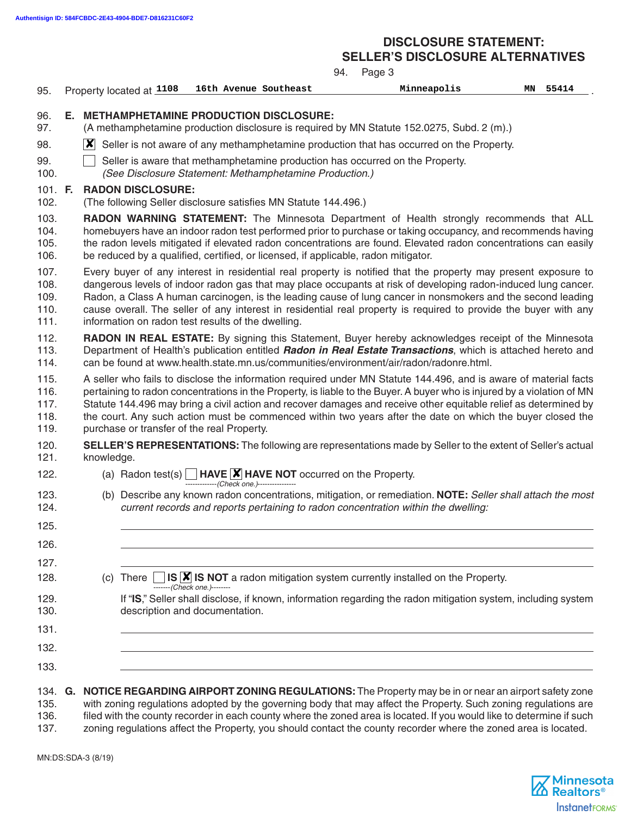# **DISCLOSURE STATEMENT:**

**SELLER'S DISCLOSURE ALTERNATIVES**

|                                      |                                                                                                                                                                                                                                                                                                                                                                                                                                                                                                                 |                                                                                                                                                                                                                                                                                                                                                                                                                                                                                                                             |                          |                                           | 94.                                                                                    | Page 3                                                                                                                                                                                                                |    |       |  |
|--------------------------------------|-----------------------------------------------------------------------------------------------------------------------------------------------------------------------------------------------------------------------------------------------------------------------------------------------------------------------------------------------------------------------------------------------------------------------------------------------------------------------------------------------------------------|-----------------------------------------------------------------------------------------------------------------------------------------------------------------------------------------------------------------------------------------------------------------------------------------------------------------------------------------------------------------------------------------------------------------------------------------------------------------------------------------------------------------------------|--------------------------|-------------------------------------------|----------------------------------------------------------------------------------------|-----------------------------------------------------------------------------------------------------------------------------------------------------------------------------------------------------------------------|----|-------|--|
| 95.                                  |                                                                                                                                                                                                                                                                                                                                                                                                                                                                                                                 |                                                                                                                                                                                                                                                                                                                                                                                                                                                                                                                             | Property located at 1108 | 16th Avenue Southeast                     |                                                                                        | Minneapolis                                                                                                                                                                                                           | ΜN | 55414 |  |
| 96.<br>97.                           | Е.                                                                                                                                                                                                                                                                                                                                                                                                                                                                                                              | <b>METHAMPHETAMINE PRODUCTION DISCLOSURE:</b><br>(A methamphetamine production disclosure is required by MN Statute 152.0275, Subd. 2 (m).)                                                                                                                                                                                                                                                                                                                                                                                 |                          |                                           |                                                                                        |                                                                                                                                                                                                                       |    |       |  |
| 98.                                  |                                                                                                                                                                                                                                                                                                                                                                                                                                                                                                                 | $\vert\bm{\mathsf{X}}\vert$ Seller is not aware of any methamphetamine production that has occurred on the Property.                                                                                                                                                                                                                                                                                                                                                                                                        |                          |                                           |                                                                                        |                                                                                                                                                                                                                       |    |       |  |
| 99.<br>100.                          |                                                                                                                                                                                                                                                                                                                                                                                                                                                                                                                 |                                                                                                                                                                                                                                                                                                                                                                                                                                                                                                                             |                          |                                           | (See Disclosure Statement: Methamphetamine Production.)                                | Seller is aware that methamphetamine production has occurred on the Property.                                                                                                                                         |    |       |  |
| 101. F.<br>102.                      | <b>RADON DISCLOSURE:</b><br>(The following Seller disclosure satisfies MN Statute 144.496.)<br>RADON WARNING STATEMENT: The Minnesota Department of Health strongly recommends that ALL<br>homebuyers have an indoor radon test performed prior to purchase or taking occupancy, and recommends having<br>the radon levels mitigated if elevated radon concentrations are found. Elevated radon concentrations can easily<br>be reduced by a qualified, certified, or licensed, if applicable, radon mitigator. |                                                                                                                                                                                                                                                                                                                                                                                                                                                                                                                             |                          |                                           |                                                                                        |                                                                                                                                                                                                                       |    |       |  |
| 103.<br>104.<br>105.<br>106.         |                                                                                                                                                                                                                                                                                                                                                                                                                                                                                                                 |                                                                                                                                                                                                                                                                                                                                                                                                                                                                                                                             |                          |                                           |                                                                                        |                                                                                                                                                                                                                       |    |       |  |
| 107.<br>108.<br>109.<br>110.<br>111. |                                                                                                                                                                                                                                                                                                                                                                                                                                                                                                                 | Every buyer of any interest in residential real property is notified that the property may present exposure to<br>dangerous levels of indoor radon gas that may place occupants at risk of developing radon-induced lung cancer.<br>Radon, a Class A human carcinogen, is the leading cause of lung cancer in nonsmokers and the second leading<br>cause overall. The seller of any interest in residential real property is required to provide the buyer with any<br>information on radon test results of the dwelling.   |                          |                                           |                                                                                        |                                                                                                                                                                                                                       |    |       |  |
| 112.<br>113.<br>114.                 |                                                                                                                                                                                                                                                                                                                                                                                                                                                                                                                 | RADON IN REAL ESTATE: By signing this Statement, Buyer hereby acknowledges receipt of the Minnesota<br>Department of Health's publication entitled Radon in Real Estate Transactions, which is attached hereto and<br>can be found at www.health.state.mn.us/communities/environment/air/radon/radonre.html.                                                                                                                                                                                                                |                          |                                           |                                                                                        |                                                                                                                                                                                                                       |    |       |  |
| 115.<br>116.<br>117.<br>118.<br>119. |                                                                                                                                                                                                                                                                                                                                                                                                                                                                                                                 | A seller who fails to disclose the information required under MN Statute 144.496, and is aware of material facts<br>pertaining to radon concentrations in the Property, is liable to the Buyer. A buyer who is injured by a violation of MN<br>Statute 144.496 may bring a civil action and recover damages and receive other equitable relief as determined by<br>the court. Any such action must be commenced within two years after the date on which the buyer closed the<br>purchase or transfer of the real Property. |                          |                                           |                                                                                        |                                                                                                                                                                                                                       |    |       |  |
| 120.<br>121.                         |                                                                                                                                                                                                                                                                                                                                                                                                                                                                                                                 | knowledge.                                                                                                                                                                                                                                                                                                                                                                                                                                                                                                                  |                          |                                           |                                                                                        | <b>SELLER'S REPRESENTATIONS:</b> The following are representations made by Seller to the extent of Seller's actual                                                                                                    |    |       |  |
| 122.                                 |                                                                                                                                                                                                                                                                                                                                                                                                                                                                                                                 |                                                                                                                                                                                                                                                                                                                                                                                                                                                                                                                             |                          | -------------(Check one.)---------------- | (a) Radon test(s) $\Box$ HAVE $\cancel{\mathsf{X}}$ HAVE NOT occurred on the Property. |                                                                                                                                                                                                                       |    |       |  |
| 123.<br>124.                         |                                                                                                                                                                                                                                                                                                                                                                                                                                                                                                                 |                                                                                                                                                                                                                                                                                                                                                                                                                                                                                                                             |                          |                                           |                                                                                        | (b) Describe any known radon concentrations, mitigation, or remediation. NOTE: Seller shall attach the most<br>current records and reports pertaining to radon concentration within the dwelling:                     |    |       |  |
| 125.                                 |                                                                                                                                                                                                                                                                                                                                                                                                                                                                                                                 |                                                                                                                                                                                                                                                                                                                                                                                                                                                                                                                             |                          |                                           |                                                                                        |                                                                                                                                                                                                                       |    |       |  |
| 126.                                 |                                                                                                                                                                                                                                                                                                                                                                                                                                                                                                                 |                                                                                                                                                                                                                                                                                                                                                                                                                                                                                                                             |                          |                                           |                                                                                        |                                                                                                                                                                                                                       |    |       |  |
| 127.<br>128.                         |                                                                                                                                                                                                                                                                                                                                                                                                                                                                                                                 |                                                                                                                                                                                                                                                                                                                                                                                                                                                                                                                             | (c) There                | -------(Check one.)--------               |                                                                                        | IS $\vert \mathbf{X} \vert$ IS NOT a radon mitigation system currently installed on the Property.                                                                                                                     |    |       |  |
| 129.<br>130.                         |                                                                                                                                                                                                                                                                                                                                                                                                                                                                                                                 |                                                                                                                                                                                                                                                                                                                                                                                                                                                                                                                             |                          | description and documentation.            |                                                                                        | If "IS," Seller shall disclose, if known, information regarding the radon mitigation system, including system                                                                                                         |    |       |  |
| 131.                                 |                                                                                                                                                                                                                                                                                                                                                                                                                                                                                                                 |                                                                                                                                                                                                                                                                                                                                                                                                                                                                                                                             |                          |                                           |                                                                                        |                                                                                                                                                                                                                       |    |       |  |
| 132.                                 |                                                                                                                                                                                                                                                                                                                                                                                                                                                                                                                 |                                                                                                                                                                                                                                                                                                                                                                                                                                                                                                                             |                          |                                           |                                                                                        |                                                                                                                                                                                                                       |    |       |  |
| 133.                                 |                                                                                                                                                                                                                                                                                                                                                                                                                                                                                                                 |                                                                                                                                                                                                                                                                                                                                                                                                                                                                                                                             |                          |                                           |                                                                                        |                                                                                                                                                                                                                       |    |       |  |
| 134.<br>135.                         | G.                                                                                                                                                                                                                                                                                                                                                                                                                                                                                                              |                                                                                                                                                                                                                                                                                                                                                                                                                                                                                                                             |                          |                                           |                                                                                        | NOTICE REGARDING AIRPORT ZONING REGULATIONS: The Property may be in or near an airport safety zone<br>with zoning regulations adopted by the governing body that may affect the Property. Such zoning regulations are |    |       |  |

136. filed with the county recorder in each county where the zoned area is located. If you would like to determine if such<br>137. zoning regulations affect the Property, you should contact the county recorder where the zoned

zoning regulations affect the Property, you should contact the county recorder where the zoned area is located.

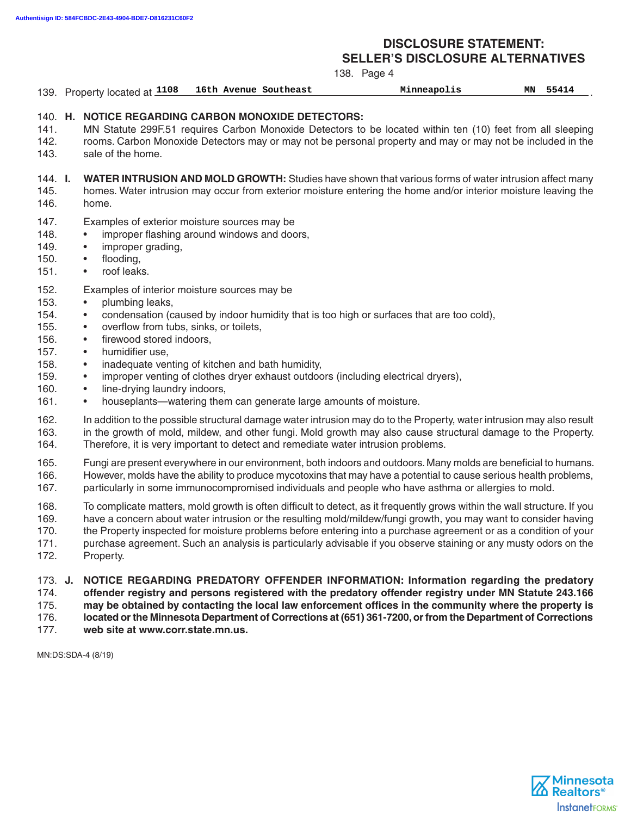#### **DISCLOSURE STATEMENT: SELLER'S DISCLOSURE ALTERNATIVES**

|                                                                              |                                                                                                                                                                                                                                                                                                       |                                                                                                                                                                                                            | 138. Page 4 |                                                                                                                                                                                                                                                                                                                                                                                                                                                                                      |    |       |
|------------------------------------------------------------------------------|-------------------------------------------------------------------------------------------------------------------------------------------------------------------------------------------------------------------------------------------------------------------------------------------------------|------------------------------------------------------------------------------------------------------------------------------------------------------------------------------------------------------------|-------------|--------------------------------------------------------------------------------------------------------------------------------------------------------------------------------------------------------------------------------------------------------------------------------------------------------------------------------------------------------------------------------------------------------------------------------------------------------------------------------------|----|-------|
|                                                                              | 139. Property located at 1108                                                                                                                                                                                                                                                                         | 16th Avenue Southeast                                                                                                                                                                                      |             | Minneapolis                                                                                                                                                                                                                                                                                                                                                                                                                                                                          | MΝ | 55414 |
| 141.<br>142.<br>143.                                                         | 140. H. NOTICE REGARDING CARBON MONOXIDE DETECTORS:<br>sale of the home.                                                                                                                                                                                                                              |                                                                                                                                                                                                            |             | MN Statute 299F.51 requires Carbon Monoxide Detectors to be located within ten (10) feet from all sleeping<br>rooms. Carbon Monoxide Detectors may or may not be personal property and may or may not be included in the                                                                                                                                                                                                                                                             |    |       |
| 144. <b>I.</b><br>145.<br>146.                                               | <b>WATER INTRUSION AND MOLD GROWTH:</b> Studies have shown that various forms of water intrusion affect many<br>homes. Water intrusion may occur from exterior moisture entering the home and/or interior moisture leaving the<br>home.                                                               |                                                                                                                                                                                                            |             |                                                                                                                                                                                                                                                                                                                                                                                                                                                                                      |    |       |
| 147.<br>148.<br>149.<br>150.<br>151.                                         | Examples of exterior moisture sources may be<br>improper grading,<br>$\bullet$<br>flooding,<br>$\bullet$<br>roof leaks.<br>$\bullet$                                                                                                                                                                  | improper flashing around windows and doors,                                                                                                                                                                |             |                                                                                                                                                                                                                                                                                                                                                                                                                                                                                      |    |       |
| 152.<br>153.<br>154.<br>155.<br>156.<br>157.<br>158.<br>159.<br>160.<br>161. | Examples of interior moisture sources may be<br>plumbing leaks,<br>$\bullet$<br>$\bullet$<br>overflow from tubs, sinks, or toilets,<br>٠<br>firewood stored indoors,<br>$\bullet$<br>humidifier use,<br>$\bullet$<br>$\bullet$<br>$\bullet$<br>line-drying laundry indoors,<br>$\bullet$<br>$\bullet$ | inadequate venting of kitchen and bath humidity,<br>improper venting of clothes dryer exhaust outdoors (including electrical dryers),<br>houseplants—watering them can generate large amounts of moisture. |             | condensation (caused by indoor humidity that is too high or surfaces that are too cold),                                                                                                                                                                                                                                                                                                                                                                                             |    |       |
| 162.<br>163.<br>164.                                                         | Therefore, it is very important to detect and remediate water intrusion problems.                                                                                                                                                                                                                     |                                                                                                                                                                                                            |             | In addition to the possible structural damage water intrusion may do to the Property, water intrusion may also result<br>in the growth of mold, mildew, and other fungi. Mold growth may also cause structural damage to the Property.                                                                                                                                                                                                                                               |    |       |
| 165.<br>166.<br>167.                                                         |                                                                                                                                                                                                                                                                                                       |                                                                                                                                                                                                            |             | Fungi are present everywhere in our environment, both indoors and outdoors. Many molds are beneficial to humans.<br>However, molds have the ability to produce mycotoxins that may have a potential to cause serious health problems,<br>particularly in some immunocompromised individuals and people who have asthma or allergies to mold.                                                                                                                                         |    |       |
| 168.<br>169.<br>170.<br>171.<br>172.                                         | Property.                                                                                                                                                                                                                                                                                             |                                                                                                                                                                                                            |             | To complicate matters, mold growth is often difficult to detect, as it frequently grows within the wall structure. If you<br>have a concern about water intrusion or the resulting mold/mildew/fungi growth, you may want to consider having<br>the Property inspected for moisture problems before entering into a purchase agreement or as a condition of your<br>purchase agreement. Such an analysis is particularly advisable if you observe staining or any musty odors on the |    |       |
| 173. J.<br>174.<br>175.<br>176.                                              |                                                                                                                                                                                                                                                                                                       |                                                                                                                                                                                                            |             | NOTICE REGARDING PREDATORY OFFENDER INFORMATION: Information regarding the predatory<br>offender registry and persons registered with the predatory offender registry under MN Statute 243.166<br>may be obtained by contacting the local law enforcement offices in the community where the property is<br>located or the Minnesota Department of Corrections at (651) 361-7200, or from the Department of Corrections                                                              |    |       |

177. **web site at www.corr.state.mn.us.**

MN:DS:SDA-4 (8/19)

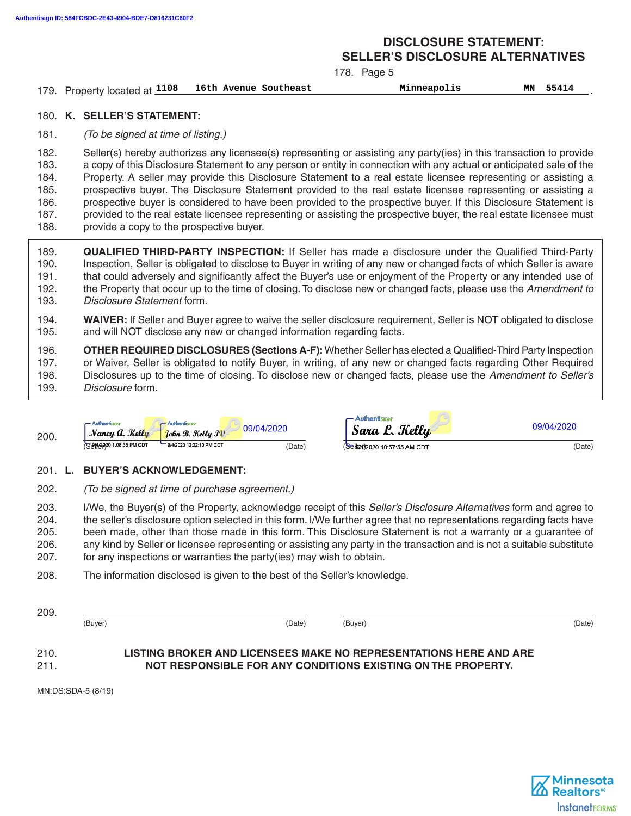#### **DISCLOSURE STATEMENT: SELLER'S DISCLOSURE ALTERNATIVES**

178. Page 5

| 179. Property located at 1108 16th Avenue Southeast | Minneapolis | MΝ | 55414 |
|-----------------------------------------------------|-------------|----|-------|
|                                                     |             |    |       |

#### 180. **K. SELLER'S STATEMENT:**

181. (To be signed at time of listing.)

182. Seller(s) hereby authorizes any licensee(s) representing or assisting any party(ies) in this transaction to provide 183. a copy of this Disclosure Statement to any person or entity in connection with any actual or anticipated sale of the 184. Property. A seller may provide this Disclosure Statement to a real estate licensee representing or assisting a 185. prospective buyer. The Disclosure Statement provided to the real estate licensee representing or assisting a 186. prospective buyer is considered to have been provided to the prospective buyer. If this Disclosure Statement is 187. provided to the real estate licensee representing or assisting the prospective buyer, the real estate licensee must 188. provide a copy to the prospective buyer.

- 189. **QUALIFIED THIRD-PARTY INSPECTION:** If Seller has made a disclosure under the Qualified Third-Party 190. Inspection, Seller is obligated to disclose to Buyer in writing of any new or changed facts of which Seller is aware 191. that could adversely and significantly affect the Buyer's use or enjoyment of the Property or any intended use of 192. the Property that occur up to the time of closing. To disclose new or changed facts, please use the Amendment to 193. Disclosure Statement form.
- 194. **WAIVER:** If Seller and Buyer agree to waive the seller disclosure requirement, Seller is NOT obligated to disclose 195. and will NOT disclose any new or changed information regarding facts.

196. **OTHER REQUIRED DISCLOSURES (Sections A-F):** Whether Seller has elected a Qualified-Third Party Inspection 197. or Waiver, Seller is obligated to notify Buyer, in writing, of any new or changed facts regarding Other Required 198. Disclosures up to the time of closing. To disclose new or changed facts, please use the Amendment to Seller's 199. Disclosure form.

| 200. | <b>- Authentision</b><br>Nancy A. Kelly | $-$ Authentision<br>$\mid$ Tohn B. Kellu I $v$ | 09/04/2020 | $\sim$ Authentision<br>Sara L. Kelly | 09/04/2020 |
|------|-----------------------------------------|------------------------------------------------|------------|--------------------------------------|------------|
|      | S 814 80 20 1:08:35 PM CDT              | 9/4/2020 12:22:10 PM CDT                       | (Date)     | (Sel964/2020 10:57:55 AM CDT         | (Date)     |

#### 201. **L. BUYER'S ACKNOWLEDGEMENT:**

202. (To be signed at time of purchase agreement.)

203. I/We, the Buyer(s) of the Property, acknowledge receipt of this Seller's Disclosure Alternatives form and agree to 204. the seller's disclosure option selected in this form. I/We further agree that no representations regarding facts have 205. been made, other than those made in this form. This Disclosure Statement is not a warranty or a guarantee of 206. any kind by Seller or licensee representing or assisting any party in the transaction and is not a suitable substitute 207. for any inspections or warranties the party(ies) may wish to obtain.

208. The information disclosed is given to the best of the Seller's knowledge.

 (Buyer) (Date) (Buyer) (Date) 210. **LISTING BROKER AND LICENSEES MAKE NO REPRESENTATIONS HERE AND ARE**

# 211. **NOT RESPONSIBLE FOR ANY CONDITIONS EXISTING ON THE PROPERTY.**

MN:DS:SDA-5 (8/19)

209.

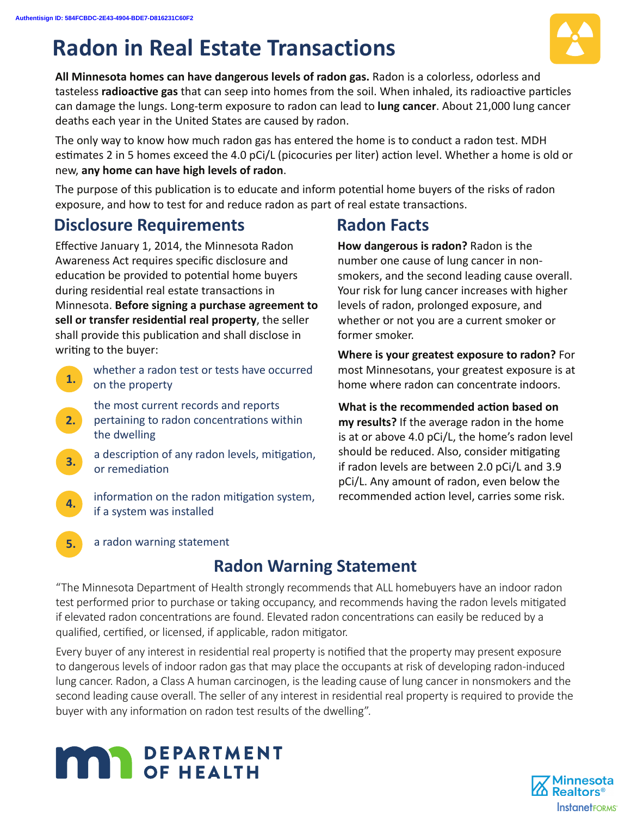# **Radon in Real Estate Transactions**



**All Minnesota homes can have dangerous levels of radon gas.** Radon is a colorless, odorless and tasteless **radioactive gas** that can seep into homes from the soil. When inhaled, its radioactive particles can damage the lungs. Long-term exposure to radon can lead to **lung cancer**. About 21,000 lung cancer deaths each year in the United States are caused by radon.

The only way to know how much radon gas has entered the home is to conduct a radon test. MDH estimates 2 in 5 homes exceed the 4.0 pCi/L (picocuries per liter) action level. Whether a home is old or new, **any home can have high levels of radon**.

The purpose of this publication is to educate and inform potential home buyers of the risks of radon exposure, and how to test for and reduce radon as part of real estate transactions.

# **Disclosure Requirements**

Effective January 1, 2014, the Minnesota Radon Awareness Act requires specific disclosure and education be provided to potential home buyers during residential real estate transactions in Minnesota. **Before signing a purchase agreement to**  sell or transfer residential real property, the seller shall provide this publication and shall disclose in writing to the buyer:

- **1.**  whether a radon test or tests have occurred on the property
- **2.**  the most current records and reports  $\blacksquare$  pertaining to radon concentrations within the dwelling
- **3.**  a description of any radon levels, mitigation, or remediation
- **4.**  information on the radon mitigation system, if a system was installed

# **Radon Facts**

**How dangerous is radon?** Radon is the number one cause of lung cancer in nonsmokers, and the second leading cause overall. Your risk for lung cancer increases with higher levels of radon, prolonged exposure, and whether or not you are a current smoker or former smoker.

**Where is your greatest exposure to radon?** For most Minnesotans, your greatest exposure is at home where radon can concentrate indoors.

**What is the recommended action based on my results?** If the average radon in the home is at or above 4.0 pCi/L, the home's radon level should be reduced. Also, consider mitigating if radon levels are between 2.0 pCi/L and 3.9 pCi/L. Any amount of radon, even below the recommended action level, carries some risk.

a radon warning statement

**5.** 

# **Radon Warning Statement**

"The Minnesota Department of Health strongly recommends that ALL homebuyers have an indoor radon test performed prior to purchase or taking occupancy, and recommends having the radon levels mitigated if elevated radon concentrations are found. Elevated radon concentrations can easily be reduced by a qualified, certified, or licensed, if applicable, radon mitigator.

Every buyer of any interest in residential real property is notified that the property may present exposure to dangerous levels of indoor radon gas that may place the occupants at risk of developing radon-induced lung cancer. Radon, a Class A human carcinogen, is the leading cause of lung cancer in nonsmokers and the second leading cause overall. The seller of any interest in residential real property is required to provide the buyer with any information on radon test results of the dwelling".